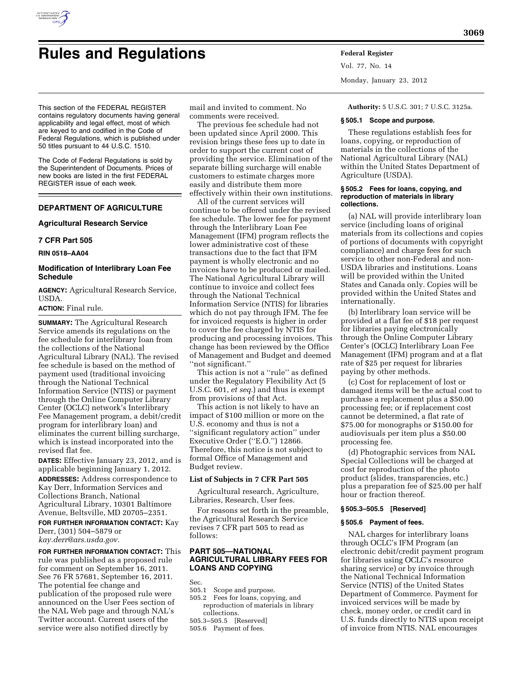

# **Rules and Regulations Federal Register**

This section of the FEDERAL REGISTER contains regulatory documents having general applicability and legal effect, most of which are keyed to and codified in the Code of Federal Regulations, which is published under 50 titles pursuant to 44 U.S.C. 1510.

The Code of Federal Regulations is sold by the Superintendent of Documents. Prices of new books are listed in the first FEDERAL REGISTER issue of each week.

# **DEPARTMENT OF AGRICULTURE**

## **Agricultural Research Service**

## **7 CFR Part 505**

**RIN 0518–AA04** 

# **Modification of Interlibrary Loan Fee Schedule**

**AGENCY:** Agricultural Research Service, USDA.

# **ACTION:** Final rule.

**SUMMARY:** The Agricultural Research Service amends its regulations on the fee schedule for interlibrary loan from the collections of the National Agricultural Library (NAL). The revised fee schedule is based on the method of payment used (traditional invoicing through the National Technical Information Service (NTIS) or payment through the Online Computer Library Center (OCLC) network's Interlibrary Fee Management program, a debit/credit program for interlibrary loan) and eliminates the current billing surcharge, which is instead incorporated into the revised flat fee.

**DATES:** Effective January 23, 2012, and is applicable beginning January 1, 2012. **ADDRESSES:** Address correspondence to Kay Derr, Information Services and Collections Branch, National Agricultural Library, 10301 Baltimore Avenue, Beltsville, MD 20705–2351.

**FOR FURTHER INFORMATION CONTACT:** Kay Derr, (301) 504–5879 or *[kay.derr@ars.usda.gov.](mailto:kay.derr@ars.usda.gov)* 

**FOR FURTHER INFORMATION CONTACT:** This rule was published as a proposed rule for comment on September 16, 2011. See 76 FR 57681, September 16, 2011. The potential fee change and publication of the proposed rule were announced on the User Fees section of the NAL Web page and through NAL's Twitter account. Current users of the service were also notified directly by

mail and invited to comment. No comments were received.

The previous fee schedule had not been updated since April 2000. This revision brings these fees up to date in order to support the current cost of providing the service. Elimination of the separate billing surcharge will enable customers to estimate charges more easily and distribute them more effectively within their own institutions.

All of the current services will continue to be offered under the revised fee schedule. The lower fee for payment through the Interlibrary Loan Fee Management (IFM) program reflects the lower administrative cost of these transactions due to the fact that IFM payment is wholly electronic and no invoices have to be produced or mailed. The National Agricultural Library will continue to invoice and collect fees through the National Technical Information Service (NTIS) for libraries which do not pay through IFM. The fee for invoiced requests is higher in order to cover the fee charged by NTIS for producing and processing invoices. This change has been reviewed by the Office of Management and Budget and deemed ''not significant.''

This action is not a ''rule'' as defined under the Regulatory Flexibility Act (5 U.S.C. 601, *et seq.*) and thus is exempt from provisions of that Act.

This action is not likely to have an impact of \$100 million or more on the U.S. economy and thus is not a ''significant regulatory action'' under Executive Order (''E.O.'') 12866. Therefore, this notice is not subject to formal Office of Management and Budget review.

## **List of Subjects in 7 CFR Part 505**

Agricultural research, Agriculture, Libraries, Research, User fees.

For reasons set forth in the preamble, the Agricultural Research Service revises 7 CFR part 505 to read as follows:

## **PART 505—NATIONAL AGRICULTURAL LIBRARY FEES FOR LOANS AND COPYING**

- Sec.<br>505.1 Scope and purpose.
- 505.2 Fees for loans, copying, and reproduction of materials in library collections.
- 505.3–505.5 [Reserved]
- 505.6 Payment of fees.

Vol. 77, No. 14 Monday, January 23, 2012

**Authority:** 5 U.S.C. 301; 7 U.S.C. 3125a.

#### **§ 505.1 Scope and purpose.**

These regulations establish fees for loans, copying, or reproduction of materials in the collections of the National Agricultural Library (NAL) within the United States Department of Agriculture (USDA).

#### **§ 505.2 Fees for loans, copying, and reproduction of materials in library collections.**

(a) NAL will provide interlibrary loan service (including loans of original materials from its collections and copies of portions of documents with copyright compliance) and charge fees for such service to other non-Federal and non-USDA libraries and institutions. Loans will be provided within the United States and Canada only. Copies will be provided within the United States and internationally.

(b) Interlibrary loan service will be provided at a flat fee of \$18 per request for libraries paying electronically through the Online Computer Library Center's (OCLC) Interlibrary Loan Fee Management (IFM) program and at a flat rate of \$25 per request for libraries paying by other methods.

(c) Cost for replacement of lost or damaged items will be the actual cost to purchase a replacement plus a \$50.00 processing fee; or if replacement cost cannot be determined, a flat rate of \$75.00 for monographs or \$150.00 for audiovisuals per item plus a \$50.00 processing fee.

(d) Photographic services from NAL Special Collections will be charged at cost for reproduction of the photo product (slides, transparencies, etc.) plus a preparation fee of \$25.00 per half hour or fraction thereof.

#### **§ 505.3–505.5 [Reserved]**

## **§ 505.6 Payment of fees.**

NAL charges for interlibrary loans through OCLC's IFM Program (an electronic debit/credit payment program for libraries using OCLC's resource sharing service) or by invoice through the National Technical Information Service (NTIS) of the United States Department of Commerce. Payment for invoiced services will be made by check, money order, or credit card in U.S. funds directly to NTIS upon receipt of invoice from NTIS. NAL encourages